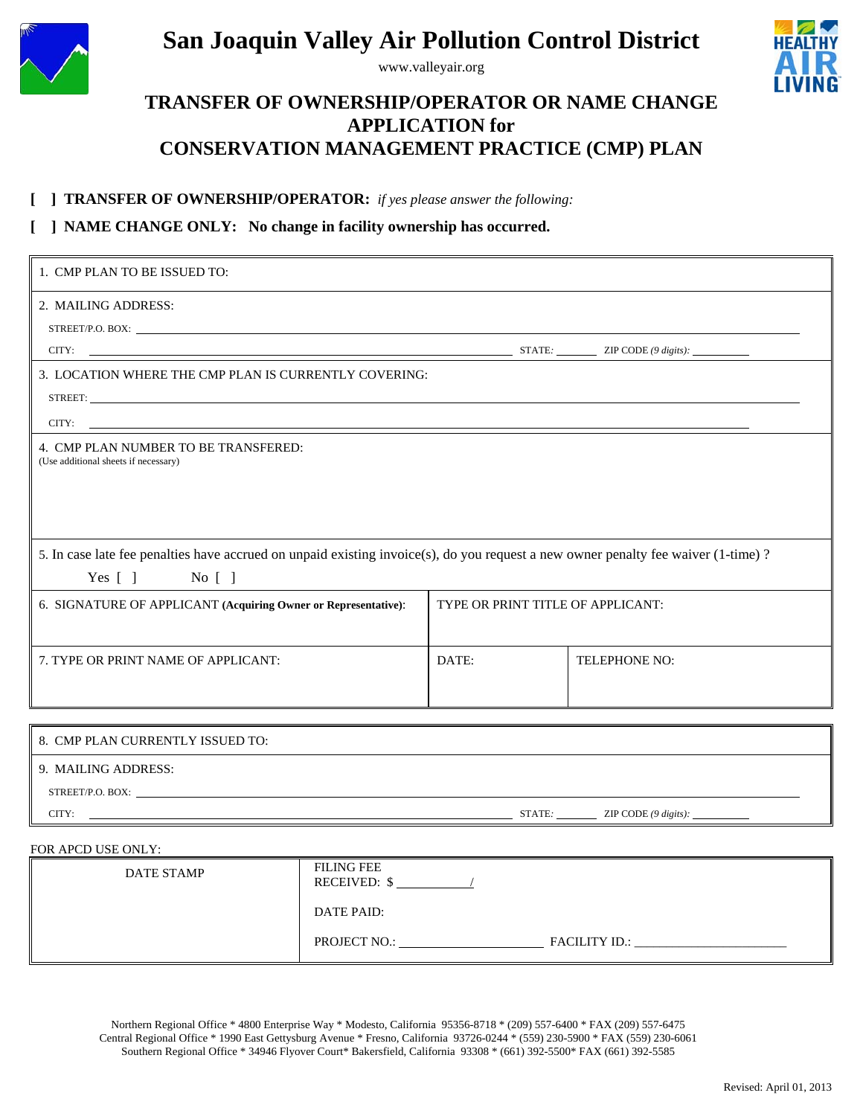

# **San Joaquin Valley Air Pollution Control District**

www.valleyair.org



## **TRANSFER OF OWNERSHIP/OPERATOR OR NAME CHANGE APPLICATION for CONSERVATION MANAGEMENT PRACTICE (CMP) PLAN**

#### **[ ] TRANSFER OF OWNERSHIP/OPERATOR:** *if yes please answer the following:*

#### **[ ] NAME CHANGE ONLY: No change in facility ownership has occurred.**

| 1. CMP PLAN TO BE ISSUED TO:                                                                                                                                                                                                                                                           |                                   |                      |  |  |
|----------------------------------------------------------------------------------------------------------------------------------------------------------------------------------------------------------------------------------------------------------------------------------------|-----------------------------------|----------------------|--|--|
| 2. MAILING ADDRESS:                                                                                                                                                                                                                                                                    |                                   |                      |  |  |
|                                                                                                                                                                                                                                                                                        |                                   |                      |  |  |
| 3. LOCATION WHERE THE CMP PLAN IS CURRENTLY COVERING:<br>STREET: Next and the state of the state of the state of the state of the state of the state of the state of the state of the state of the state of the state of the state of the state of the state of the state of the state |                                   |                      |  |  |
| CITY:<br><u> 1989 - Johann Stein, mars ar yw i ganrif yn y ganrif y brenin y ganrif y ganrif y ganrif y ganrif y ganrif y</u>                                                                                                                                                          |                                   |                      |  |  |
| 4. CMP PLAN NUMBER TO BE TRANSFERED:<br>(Use additional sheets if necessary)                                                                                                                                                                                                           |                                   |                      |  |  |
| 5. In case late fee penalties have accrued on unpaid existing invoice(s), do you request a new owner penalty fee waiver (1-time)?<br>Yes $\lceil \cdot \rceil$ No $\lceil \cdot \rceil$                                                                                                |                                   |                      |  |  |
| 6. SIGNATURE OF APPLICANT (Acquiring Owner or Representative):                                                                                                                                                                                                                         | TYPE OR PRINT TITLE OF APPLICANT: |                      |  |  |
| 7. TYPE OR PRINT NAME OF APPLICANT:                                                                                                                                                                                                                                                    | DATE:                             | <b>TELEPHONE NO:</b> |  |  |
|                                                                                                                                                                                                                                                                                        |                                   |                      |  |  |
| 8. CMP PLAN CURRENTLY ISSUED TO:                                                                                                                                                                                                                                                       |                                   |                      |  |  |

| 9. MAILING ADDRESS: |
|---------------------|
|---------------------|

STREET/P.O. BOX:

CITY: <u>ZIP CODE (9 digits):</u> **ZIP** CODE (9 digits): **ZIP** CODE (9 digits):

#### FOR APCD USE ONLY:

| DATE STAMP | <b>FILING FEE</b><br><b>RECEIVED: \$</b> |
|------------|------------------------------------------|
|            | DATE PAID:                               |
|            | PROJECT NO.:<br><b>FACILITY ID.:</b>     |

Northern Regional Office \* 4800 Enterprise Way \* Modesto, California 95356-8718 \* (209) 557-6400 \* FAX (209) 557-6475 Central Regional Office \* 1990 East Gettysburg Avenue \* Fresno, California 93726-0244 \* (559) 230-5900 \* FAX (559) 230-6061 Southern Regional Office \* 34946 Flyover Court\* Bakersfield, California 93308 \* (661) 392-5500\* FAX (661) 392-5585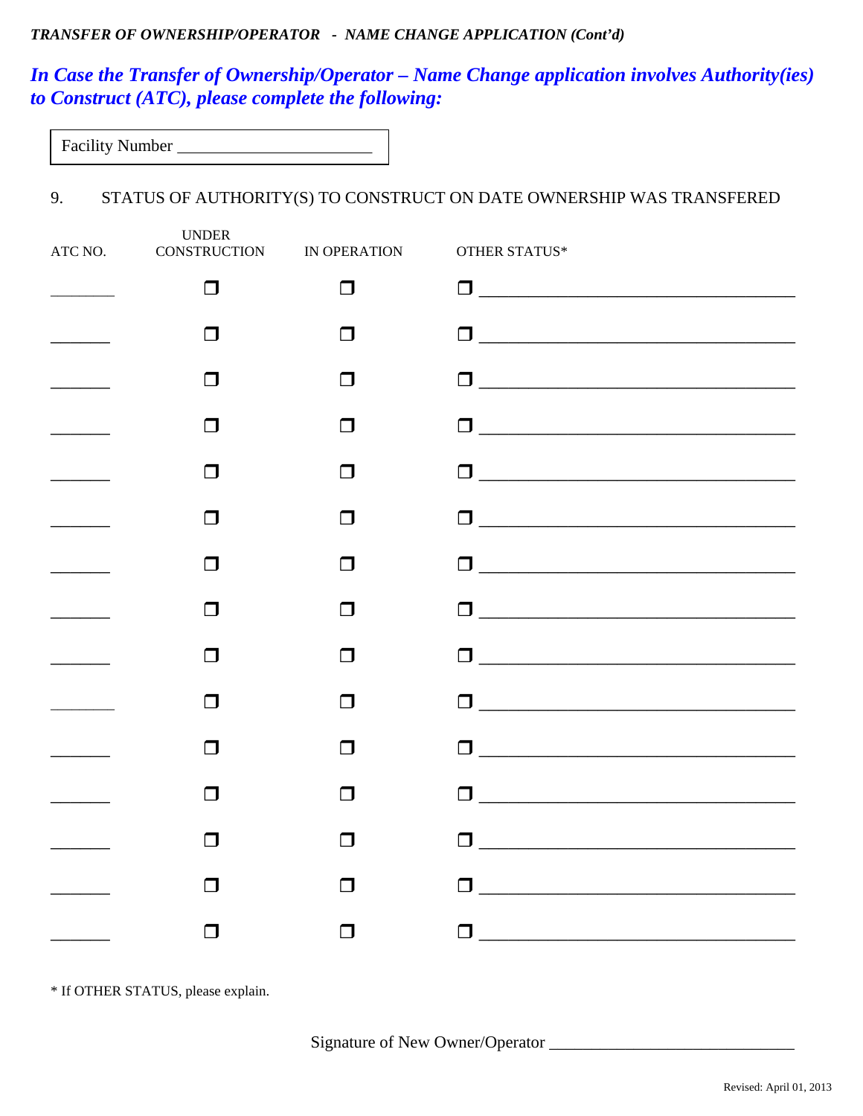#### *TRANSFER OF OWNERSHIP/OPERATOR - NAME CHANGE APPLICATION (Cont'd)*

## *In Case the Transfer of Ownership/Operator – Name Change application involves Authority(ies) to Construct (ATC), please complete the following:*

| <b>Facility Number</b> |  |
|------------------------|--|
|                        |  |

### 9. STATUS OF AUTHORITY(S) TO CONSTRUCT ON DATE OWNERSHIP WAS TRANSFERED

| <b>UNDER</b><br>ATC NO. CONSTRUCTION IN OPERATION |        | OTHER STATUS*                                                                                                     |
|---------------------------------------------------|--------|-------------------------------------------------------------------------------------------------------------------|
| $\Box$                                            | $\Box$ |                                                                                                                   |
| l I                                               | П      |                                                                                                                   |
| П                                                 | П      |                                                                                                                   |
| $\Box$                                            | П      |                                                                                                                   |
| $\Box$                                            | ⊓      |                                                                                                                   |
| П                                                 | П      |                                                                                                                   |
| ⊓                                                 | П      |                                                                                                                   |
| l I                                               | П      |                                                                                                                   |
| $\Box$                                            | П      |                                                                                                                   |
| $\Box$                                            | ⊓      | $\begin{tabular}{ c c c c } \hline \quad \quad & \quad \quad & \quad \quad & \quad \quad \\ \hline \end{tabular}$ |
| П                                                 | П      |                                                                                                                   |
| П                                                 | П      |                                                                                                                   |
| П                                                 | П      | $\Box$                                                                                                            |
|                                                   | n 1    | ⊓<br><u> 1980 - Jan Barbara, martxa al II-lea (h. 1980).</u>                                                      |
| ┓                                                 | I.     |                                                                                                                   |

\* If OTHER STATUS, please explain.

Signature of New Owner/Operator \_\_\_\_\_\_\_\_\_\_\_\_\_\_\_\_\_\_\_\_\_\_\_\_\_\_\_\_\_